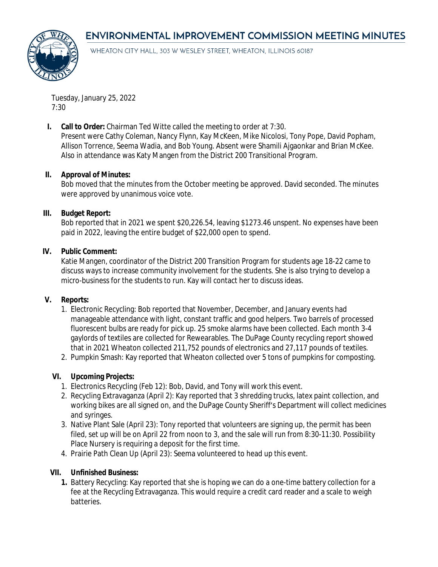# **ENVIRONMENTAL IMPROVEMENT COMMISSION MEETING MINUTES**



WHEATON CITY HALL, 303 W WESLEY STREET, WHEATON, ILLINOIS 60187

Tuesday, January 25, 2022 7:30

**I. Call to Order:** Chairman Ted Witte called the meeting to order at 7:30.

Present were Cathy Coleman, Nancy Flynn, Kay McKeen, Mike Nicolosi, Tony Pope, David Popham, Allison Torrence, Seema Wadia, and Bob Young. Absent were Shamili Ajgaonkar and Brian McKee. Also in attendance was Katy Mangen from the District 200 Transitional Program.

## **II. Approval of Minutes:**

Bob moved that the minutes from the October meeting be approved. David seconded. The minutes were approved by unanimous voice vote.

#### **III. Budget Report:**

Bob reported that in 2021 we spent \$20,226.54, leaving \$1273.46 unspent. No expenses have been paid in 2022, leaving the entire budget of \$22,000 open to spend.

#### **IV. Public Comment:**

Katie Mangen, coordinator of the District 200 Transition Program for students age 18-22 came to discuss ways to increase community involvement for the students. She is also trying to develop a micro-business for the students to run. Kay will contact her to discuss ideas.

## **V. Reports:**

- 1. Electronic Recycling: Bob reported that November, December, and January events had manageable attendance with light, constant traffic and good helpers. Two barrels of processed fluorescent bulbs are ready for pick up. 25 smoke alarms have been collected. Each month 3-4 gaylords of textiles are collected for Rewearables. The DuPage County recycling report showed that in 2021 Wheaton collected 211,752 pounds of electronics and 27,117 pounds of textiles.
- 2. Pumpkin Smash: Kay reported that Wheaton collected over 5 tons of pumpkins for composting.

## **VI. Upcoming Projects:**

- 1. Electronics Recycling (Feb 12): Bob, David, and Tony will work this event.
- 2. Recycling Extravaganza (April 2): Kay reported that 3 shredding trucks, latex paint collection, and working bikes are all signed on, and the DuPage County Sheriff's Department will collect medicines and syringes.
- 3. Native Plant Sale (April 23): Tony reported that volunteers are signing up, the permit has been filed, set up will be on April 22 from noon to 3, and the sale will run from 8:30-11:30. Possibility Place Nursery is requiring a deposit for the first time.
- 4. Prairie Path Clean Up (April 23): Seema volunteered to head up this event.

## **VII. Unfinished Business:**

**1.** Battery Recycling: Kay reported that she is hoping we can do a one-time battery collection for a fee at the Recycling Extravaganza. This would require a credit card reader and a scale to weigh batteries.